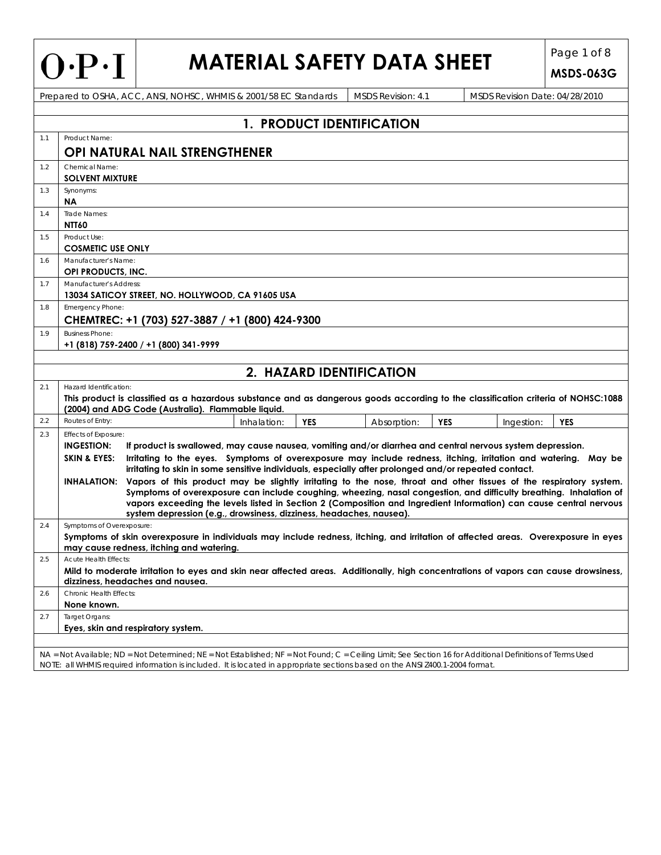| $\mathbf{\mathsf{D}}$<br>$\bullet$<br>◗<br>$\blacksquare$ |
|-----------------------------------------------------------|
|-----------------------------------------------------------|

 $1.3$ 

 $1.4$ 

 $1.5$ 

 $1.8$ 

 $2.3$ 

 $2.6$ 

 $2.7$ 

# **MATERIAL SAFETY DATA SHEET** Page 1 of 8

|     | V'F'1                                   |                                          | MAILNAL JALLI DAIA JIILLI                                                                                                                                                                                                                                                                  |            |                           |            |                                | <b>MSDS-063G</b> |
|-----|-----------------------------------------|------------------------------------------|--------------------------------------------------------------------------------------------------------------------------------------------------------------------------------------------------------------------------------------------------------------------------------------------|------------|---------------------------|------------|--------------------------------|------------------|
|     |                                         |                                          | Prepared to OSHA, ACC, ANSI, NOHSC, WHMIS & 2001/58 EC Standards                                                                                                                                                                                                                           |            | MSDS Revision: 4.1        |            | MSDS Revision Date: 04/28/2010 |                  |
|     |                                         |                                          |                                                                                                                                                                                                                                                                                            |            |                           |            |                                |                  |
|     |                                         |                                          |                                                                                                                                                                                                                                                                                            |            | 1. PRODUCT IDENTIFICATION |            |                                |                  |
| 1.1 | Product Name:                           |                                          |                                                                                                                                                                                                                                                                                            |            |                           |            |                                |                  |
|     |                                         |                                          | <b>OPI NATURAL NAIL STRENGTHENER</b>                                                                                                                                                                                                                                                       |            |                           |            |                                |                  |
| 1.2 | Chemical Name:                          |                                          |                                                                                                                                                                                                                                                                                            |            |                           |            |                                |                  |
|     | <b>SOLVENT MIXTURE</b>                  |                                          |                                                                                                                                                                                                                                                                                            |            |                           |            |                                |                  |
| 1.3 | Synonyms:                               |                                          |                                                                                                                                                                                                                                                                                            |            |                           |            |                                |                  |
| 1.4 | <b>NA</b><br>Trade Names:               |                                          |                                                                                                                                                                                                                                                                                            |            |                           |            |                                |                  |
|     | <b>NTT60</b>                            |                                          |                                                                                                                                                                                                                                                                                            |            |                           |            |                                |                  |
| 1.5 | Product Use:                            |                                          |                                                                                                                                                                                                                                                                                            |            |                           |            |                                |                  |
|     | <b>COSMETIC USE ONLY</b>                |                                          |                                                                                                                                                                                                                                                                                            |            |                           |            |                                |                  |
| 1.6 | Manufacturer's Name:                    |                                          |                                                                                                                                                                                                                                                                                            |            |                           |            |                                |                  |
|     | OPI PRODUCTS, INC.                      |                                          |                                                                                                                                                                                                                                                                                            |            |                           |            |                                |                  |
| 1.7 | Manufacturer's Address:                 |                                          |                                                                                                                                                                                                                                                                                            |            |                           |            |                                |                  |
|     |                                         |                                          | 13034 SATICOY STREET, NO. HOLLYWOOD, CA 91605 USA                                                                                                                                                                                                                                          |            |                           |            |                                |                  |
| 1.8 | <b>Emergency Phone:</b>                 |                                          |                                                                                                                                                                                                                                                                                            |            |                           |            |                                |                  |
|     |                                         |                                          | CHEMTREC: +1 (703) 527-3887 / +1 (800) 424-9300                                                                                                                                                                                                                                            |            |                           |            |                                |                  |
| 1.9 | <b>Business Phone:</b>                  |                                          |                                                                                                                                                                                                                                                                                            |            |                           |            |                                |                  |
|     | $+1$ (818) 759-2400 / +1 (800) 341-9999 |                                          |                                                                                                                                                                                                                                                                                            |            |                           |            |                                |                  |
|     |                                         |                                          |                                                                                                                                                                                                                                                                                            |            |                           |            |                                |                  |
|     |                                         |                                          |                                                                                                                                                                                                                                                                                            |            | 2. HAZARD IDENTIFICATION  |            |                                |                  |
| 2.1 | Hazard Identification:                  |                                          |                                                                                                                                                                                                                                                                                            |            |                           |            |                                |                  |
|     |                                         |                                          | This product is classified as a hazardous substance and as dangerous goods according to the classification criteria of NOHSC:1088<br>(2004) and ADG Code (Australia). Flammable liquid.                                                                                                    |            |                           |            |                                |                  |
| 2.2 | Routes of Entry:                        |                                          | Inhalation:                                                                                                                                                                                                                                                                                | <b>YES</b> | Absorption:               | <b>YES</b> | Ingestion:                     | <b>YES</b>       |
| 2.3 | Effects of Exposure:                    |                                          |                                                                                                                                                                                                                                                                                            |            |                           |            |                                |                  |
|     | <b>INGESTION:</b>                       |                                          | If product is swallowed, may cause nausea, vomiting and/or diarrhea and central nervous system depression.                                                                                                                                                                                 |            |                           |            |                                |                  |
|     | <b>SKIN &amp; EYES:</b>                 |                                          | Irritating to the eyes. Symptoms of overexposure may include redness, itching, irritation and watering. May be                                                                                                                                                                             |            |                           |            |                                |                  |
|     |                                         |                                          | irritating to skin in some sensitive individuals, especially after prolonged and/or repeated contact.                                                                                                                                                                                      |            |                           |            |                                |                  |
|     |                                         |                                          | INHALATION: Vapors of this product may be slightly irritating to the nose, throat and other tissues of the respiratory system.                                                                                                                                                             |            |                           |            |                                |                  |
|     |                                         |                                          | Symptoms of overexposure can include coughing, wheezing, nasal congestion, and difficulty breathing. Inhalation of                                                                                                                                                                         |            |                           |            |                                |                  |
|     |                                         |                                          | vapors exceeding the levels listed in Section 2 (Composition and Ingredient Information) can cause central nervous                                                                                                                                                                         |            |                           |            |                                |                  |
| 2.4 | Symptoms of Overexposure:               |                                          | system depression (e.g., drowsiness, dizziness, headaches, nausea).                                                                                                                                                                                                                        |            |                           |            |                                |                  |
|     |                                         |                                          | Symptoms of skin overexposure in individuals may include redness, itching, and irritation of affected areas. Overexposure in eyes                                                                                                                                                          |            |                           |            |                                |                  |
|     |                                         | may cause redness, itching and watering. |                                                                                                                                                                                                                                                                                            |            |                           |            |                                |                  |
| 2.5 | Acute Health Effects:                   |                                          |                                                                                                                                                                                                                                                                                            |            |                           |            |                                |                  |
|     |                                         |                                          | Mild to moderate irritation to eyes and skin near affected areas. Additionally, high concentrations of vapors can cause drowsiness,                                                                                                                                                        |            |                           |            |                                |                  |
|     |                                         | dizziness, headaches and nausea.         |                                                                                                                                                                                                                                                                                            |            |                           |            |                                |                  |
| 2.6 | Chronic Health Effects:                 |                                          |                                                                                                                                                                                                                                                                                            |            |                           |            |                                |                  |
|     | None known.                             |                                          |                                                                                                                                                                                                                                                                                            |            |                           |            |                                |                  |
| 2.7 | Target Organs:                          |                                          |                                                                                                                                                                                                                                                                                            |            |                           |            |                                |                  |
|     | Eyes, skin and respiratory system.      |                                          |                                                                                                                                                                                                                                                                                            |            |                           |            |                                |                  |
|     |                                         |                                          |                                                                                                                                                                                                                                                                                            |            |                           |            |                                |                  |
|     |                                         |                                          | NA = Not Available; ND = Not Determined; NE = Not Established; NF = Not Found; C = Ceiling Limit; See Section 16 for Additional Definitions of Terms Used<br>NOTE: all WHMIS required information is included. It is located in appropriate sections based on the ANSI Z400.1-2004 format. |            |                           |            |                                |                  |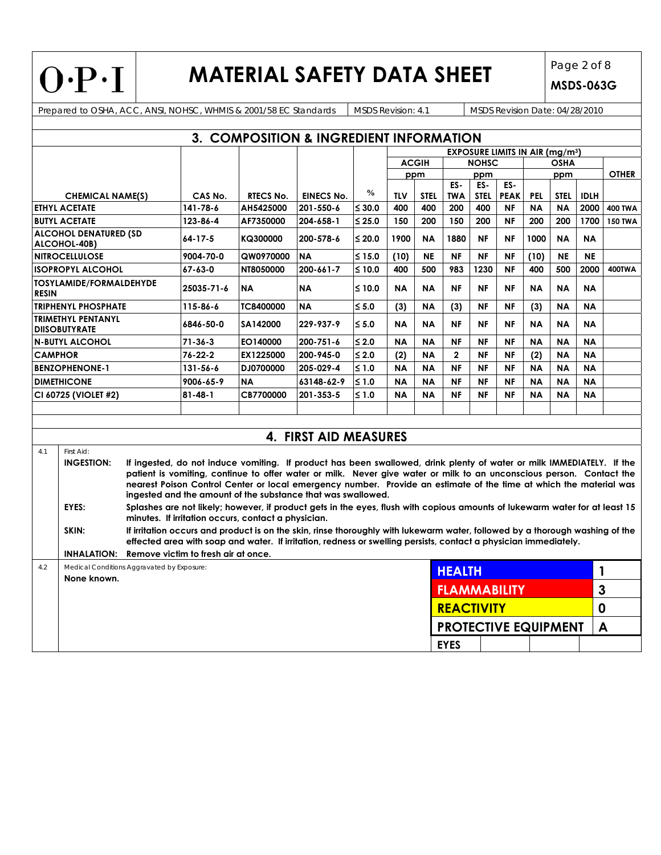$O \cdot P \cdot I$ 

# **MATERIAL SAFETY DATA SHEET** Page 2 of 8

**MSDS-063G**

Prepared to OSHA, ACC, ANSI, NOHSC, WHMIS & 2001/58 EC Standards MSDS Revision: 4.1 MSDS Revision Date: 04/28/2010

| 3. COMPOSITION & INGREDIENT INFORMATION         |                                                           |          |                                     |                                                                                                                                                                                                                                                                                                                                                                                                                                     |                       |               |            |              |                             |                    |                    |             |             |                |                |
|-------------------------------------------------|-----------------------------------------------------------|----------|-------------------------------------|-------------------------------------------------------------------------------------------------------------------------------------------------------------------------------------------------------------------------------------------------------------------------------------------------------------------------------------------------------------------------------------------------------------------------------------|-----------------------|---------------|------------|--------------|-----------------------------|--------------------|--------------------|-------------|-------------|----------------|----------------|
| <b>EXPOSURE LIMITS IN AIR (mg/m3)</b>           |                                                           |          |                                     |                                                                                                                                                                                                                                                                                                                                                                                                                                     |                       |               |            |              |                             |                    |                    |             |             |                |                |
|                                                 |                                                           |          |                                     |                                                                                                                                                                                                                                                                                                                                                                                                                                     |                       |               |            | <b>ACGIH</b> | <b>NOHSC</b>                |                    |                    | <b>OSHA</b> |             |                |                |
|                                                 |                                                           |          |                                     |                                                                                                                                                                                                                                                                                                                                                                                                                                     |                       |               |            | ppm          | ppm                         |                    |                    | ppm         |             |                | <b>OTHER</b>   |
|                                                 |                                                           |          | CAS No.                             | <b>RTECS No.</b>                                                                                                                                                                                                                                                                                                                                                                                                                    | <b>EINECS No.</b>     | $\frac{0}{0}$ | <b>TLV</b> | <b>STEL</b>  | ES-<br><b>TWA</b>           | ES-<br><b>STEL</b> | ES-<br><b>PEAK</b> | <b>PEL</b>  | <b>STEL</b> | <b>IDLH</b>    |                |
| <b>CHEMICAL NAME(S)</b><br><b>ETHYL ACETATE</b> |                                                           | 141-78-6 | AH5425000                           | 201-550-6                                                                                                                                                                                                                                                                                                                                                                                                                           | $\leq 30.0$           | 400           | 400        | 200          | 400                         | <b>NF</b>          | <b>NA</b>          | <b>NA</b>   | 2000        | <b>400 TWA</b> |                |
|                                                 | <b>BUTYL ACETATE</b>                                      |          | 123-86-4                            | AF7350000                                                                                                                                                                                                                                                                                                                                                                                                                           | 204-658-1             | $≤ 25.0$      | 150        | 200          | 150                         | 200                | <b>NF</b>          | 200         | 200         | 1700           | <b>150 TWA</b> |
|                                                 | <b>ALCOHOL DENATURED (SD</b><br>ALCOHOL-40B)              |          | 64-17-5                             | KQ300000                                                                                                                                                                                                                                                                                                                                                                                                                            | 200-578-6             | $≤ 20.0$      | 1900       | <b>NA</b>    | 1880                        | <b>NF</b>          | <b>NF</b>          | 1000        | <b>NA</b>   | <b>NA</b>      |                |
|                                                 | <b>NITROCELLULOSE</b>                                     |          | 9004-70-0                           | QW0970000                                                                                                                                                                                                                                                                                                                                                                                                                           | <b>NA</b>             | ≤ 15.0        | (10)       | <b>NE</b>    | <b>NF</b>                   | <b>NF</b>          | <b>NF</b>          | (10)        | <b>NE</b>   | <b>NE</b>      |                |
|                                                 | <b>ISOPROPYL ALCOHOL</b>                                  |          | 67-63-0                             | NT8050000                                                                                                                                                                                                                                                                                                                                                                                                                           | 200-661-7             | $≤ 10.0$      | 400        | 500          | 983                         | 1230               | <b>NF</b>          | 400         | 500         | 2000           | 400TWA         |
| <b>RESIN</b>                                    | TOSYLAMIDE/FORMALDEHYDE                                   |          | 25035-71-6                          | <b>NA</b>                                                                                                                                                                                                                                                                                                                                                                                                                           | <b>NA</b>             | $≤ 10.0$      | <b>NA</b>  | <b>NA</b>    | <b>NF</b>                   | NF                 | <b>NF</b>          | <b>NA</b>   | <b>NA</b>   | <b>NA</b>      |                |
|                                                 | <b>TRIPHENYL PHOSPHATE</b>                                |          | 115-86-6                            | <b>TC8400000</b>                                                                                                                                                                                                                                                                                                                                                                                                                    | <b>NA</b>             | $\leq 5.0$    | (3)        | <b>NA</b>    | (3)                         | <b>NF</b>          | <b>NF</b>          | (3)         | <b>NA</b>   | <b>NA</b>      |                |
|                                                 | <b>TRIMETHYL PENTANYL</b><br><b>DIISOBUTYRATE</b>         |          | 6846-50-0                           | SA142000                                                                                                                                                                                                                                                                                                                                                                                                                            | 229-937-9             | $\leq 5.0$    | <b>NA</b>  | <b>NA</b>    | <b>NF</b>                   | <b>NF</b>          | <b>NF</b>          | <b>NA</b>   | <b>NA</b>   | <b>NA</b>      |                |
|                                                 | <b>N-BUTYL ALCOHOL</b>                                    |          | $71 - 36 - 3$                       | EO140000                                                                                                                                                                                                                                                                                                                                                                                                                            | 200-751-6             | $≤ 2.0$       | <b>NA</b>  | <b>NA</b>    | <b>NF</b>                   | <b>NF</b>          | <b>NF</b>          | <b>NA</b>   | <b>NA</b>   | <b>NA</b>      |                |
| <b>CAMPHOR</b>                                  |                                                           |          | $76 - 22 - 2$                       | EX1225000                                                                                                                                                                                                                                                                                                                                                                                                                           | 200-945-0             | $\leq 2.0$    | (2)        | <b>NA</b>    | $\mathbf{2}$                | <b>NF</b>          | <b>NF</b>          | (2)         | <b>NA</b>   | <b>NA</b>      |                |
|                                                 | <b>BENZOPHENONE-1</b>                                     |          | 131-56-6                            | DJ0700000                                                                                                                                                                                                                                                                                                                                                                                                                           | 205-029-4             | $≤ 1.0$       | <b>NA</b>  | <b>NA</b>    | <b>NF</b>                   | <b>NF</b>          | <b>NF</b>          | <b>NA</b>   | <b>NA</b>   | <b>NA</b>      |                |
|                                                 | <b>DIMETHICONE</b>                                        |          | 9006-65-9                           | <b>NA</b>                                                                                                                                                                                                                                                                                                                                                                                                                           | 63148-62-9            | $\leq 1.0$    | <b>NA</b>  | <b>NA</b>    | <b>NF</b>                   | <b>NF</b>          | <b>NF</b>          | <b>NA</b>   | <b>NA</b>   | <b>NA</b>      |                |
|                                                 | CI 60725 (VIOLET #2)                                      |          | $81 - 48 - 1$                       | CB7700000                                                                                                                                                                                                                                                                                                                                                                                                                           | 201-353-5             | $≤ 1.0$       | <b>NA</b>  | <b>NA</b>    | <b>NF</b>                   | <b>NF</b>          | <b>NF</b>          | <b>NA</b>   | <b>NA</b>   | <b>NA</b>      |                |
|                                                 |                                                           |          |                                     |                                                                                                                                                                                                                                                                                                                                                                                                                                     |                       |               |            |              |                             |                    |                    |             |             |                |                |
|                                                 |                                                           |          |                                     |                                                                                                                                                                                                                                                                                                                                                                                                                                     | 4. FIRST AID MEASURES |               |            |              |                             |                    |                    |             |             |                |                |
| 4.1                                             | First Aid:                                                |          |                                     |                                                                                                                                                                                                                                                                                                                                                                                                                                     |                       |               |            |              |                             |                    |                    |             |             |                |                |
|                                                 | <b>INGESTION:</b>                                         |          |                                     | If ingested, do not induce vomiting. If product has been swallowed, drink plenty of water or milk IMMEDIATELY. If the<br>patient is vomiting, continue to offer water or milk. Never give water or milk to an unconscious person. Contact the<br>nearest Poison Control Center or local emergency number. Provide an estimate of the time at which the material was<br>ingested and the amount of the substance that was swallowed. |                       |               |            |              |                             |                    |                    |             |             |                |                |
|                                                 | EYES:                                                     |          |                                     | Splashes are not likely; however, if product gets in the eyes, flush with copious amounts of lukewarm water for at least 15<br>minutes. If irritation occurs, contact a physician.                                                                                                                                                                                                                                                  |                       |               |            |              |                             |                    |                    |             |             |                |                |
|                                                 | SKIN:                                                     |          |                                     | If irritation occurs and product is on the skin, rinse thoroughly with lukewarm water, followed by a thorough washing of the<br>effected area with soap and water. If irritation, redness or swelling persists, contact a physician immediately.                                                                                                                                                                                    |                       |               |            |              |                             |                    |                    |             |             |                |                |
|                                                 | <b>INHALATION:</b>                                        |          | Remove victim to fresh air at once. |                                                                                                                                                                                                                                                                                                                                                                                                                                     |                       |               |            |              |                             |                    |                    |             |             |                |                |
| 4.2                                             | Medical Conditions Aggravated by Exposure:<br>None known. |          |                                     |                                                                                                                                                                                                                                                                                                                                                                                                                                     |                       |               |            |              | <b>HEALTH</b>               |                    |                    |             |             | $\mathbf{1}$   |                |
|                                                 |                                                           |          |                                     |                                                                                                                                                                                                                                                                                                                                                                                                                                     |                       |               |            |              | <b>FLAMMABILITY</b>         |                    |                    |             |             | $\mathbf{3}$   |                |
|                                                 |                                                           |          |                                     |                                                                                                                                                                                                                                                                                                                                                                                                                                     |                       |               |            |              | <b>REACTIVITY</b>           |                    |                    |             |             | 0              |                |
|                                                 |                                                           |          |                                     |                                                                                                                                                                                                                                                                                                                                                                                                                                     |                       |               |            |              | <b>PROTECTIVE EQUIPMENT</b> |                    |                    |             |             | A              |                |
|                                                 | <b>EYES</b>                                               |          |                                     |                                                                                                                                                                                                                                                                                                                                                                                                                                     |                       |               |            |              |                             |                    |                    |             |             |                |                |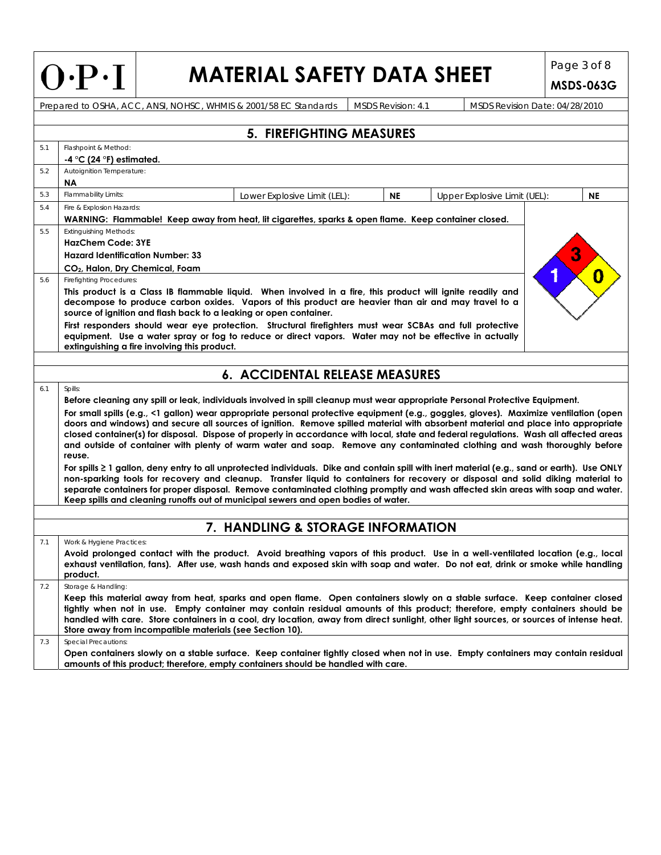|  | $\left( \mathbf{\cdot }^{\mathbf{p.}}\right)$ |  | L |
|--|-----------------------------------------------|--|---|
|--|-----------------------------------------------|--|---|

# **MATERIAL SAFETY DATA SHEET**  $\left| \begin{array}{c} \text{Page 3 of 8} \\ \text{MSPS 043C} \end{array} \right|$

**MSDS-063G**

Prepared to OSHA, ACC, ANSI, NOHSC, WHMIS & 2001/58 EC Standards MSDS Revision: 4.1 MSDS Revision Date: 04/28/2010

|     |                                                                                                                                                                                                                                                                                                                                                                                                                                                                                                                                                                                                                                                                                                                                                                                                                                                                                                                                                                                    | <b>5. FIREFIGHTING MEASURES</b>                                                                                                                                                                                                                                                                                                                                                                         |           |                              |           |  |  |  |  |  |
|-----|------------------------------------------------------------------------------------------------------------------------------------------------------------------------------------------------------------------------------------------------------------------------------------------------------------------------------------------------------------------------------------------------------------------------------------------------------------------------------------------------------------------------------------------------------------------------------------------------------------------------------------------------------------------------------------------------------------------------------------------------------------------------------------------------------------------------------------------------------------------------------------------------------------------------------------------------------------------------------------|---------------------------------------------------------------------------------------------------------------------------------------------------------------------------------------------------------------------------------------------------------------------------------------------------------------------------------------------------------------------------------------------------------|-----------|------------------------------|-----------|--|--|--|--|--|
| 5.1 | Flashpoint & Method:<br>$-4$ °C (24 °F) estimated.                                                                                                                                                                                                                                                                                                                                                                                                                                                                                                                                                                                                                                                                                                                                                                                                                                                                                                                                 |                                                                                                                                                                                                                                                                                                                                                                                                         |           |                              |           |  |  |  |  |  |
| 5.2 | Autoignition Temperature:<br><b>NA</b>                                                                                                                                                                                                                                                                                                                                                                                                                                                                                                                                                                                                                                                                                                                                                                                                                                                                                                                                             |                                                                                                                                                                                                                                                                                                                                                                                                         |           |                              |           |  |  |  |  |  |
| 5.3 | Flammability Limits:                                                                                                                                                                                                                                                                                                                                                                                                                                                                                                                                                                                                                                                                                                                                                                                                                                                                                                                                                               | Lower Explosive Limit (LEL):                                                                                                                                                                                                                                                                                                                                                                            | <b>NE</b> | Upper Explosive Limit (UEL): | <b>NE</b> |  |  |  |  |  |
| 5.4 | Fire & Explosion Hazards:                                                                                                                                                                                                                                                                                                                                                                                                                                                                                                                                                                                                                                                                                                                                                                                                                                                                                                                                                          |                                                                                                                                                                                                                                                                                                                                                                                                         |           |                              |           |  |  |  |  |  |
|     |                                                                                                                                                                                                                                                                                                                                                                                                                                                                                                                                                                                                                                                                                                                                                                                                                                                                                                                                                                                    | WARNING: Flammable! Keep away from heat, lit cigarettes, sparks & open flame. Keep container closed.                                                                                                                                                                                                                                                                                                    |           |                              |           |  |  |  |  |  |
| 5.5 | <b>Extinguishing Methods:</b>                                                                                                                                                                                                                                                                                                                                                                                                                                                                                                                                                                                                                                                                                                                                                                                                                                                                                                                                                      |                                                                                                                                                                                                                                                                                                                                                                                                         |           |                              |           |  |  |  |  |  |
|     | <b>HazChem Code: 3YE</b><br><b>Hazard Identification Number: 33</b>                                                                                                                                                                                                                                                                                                                                                                                                                                                                                                                                                                                                                                                                                                                                                                                                                                                                                                                |                                                                                                                                                                                                                                                                                                                                                                                                         |           |                              |           |  |  |  |  |  |
|     | CO <sub>2</sub> , Halon, Dry Chemical, Foam                                                                                                                                                                                                                                                                                                                                                                                                                                                                                                                                                                                                                                                                                                                                                                                                                                                                                                                                        |                                                                                                                                                                                                                                                                                                                                                                                                         |           |                              |           |  |  |  |  |  |
| 5.6 |                                                                                                                                                                                                                                                                                                                                                                                                                                                                                                                                                                                                                                                                                                                                                                                                                                                                                                                                                                                    |                                                                                                                                                                                                                                                                                                                                                                                                         |           |                              |           |  |  |  |  |  |
|     | <b>Firefighting Procedures:</b><br>This product is a Class IB flammable liquid. When involved in a fire, this product will ignite readily and<br>decompose to produce carbon oxides. Vapors of this product are heavier than air and may travel to a<br>source of ignition and flash back to a leaking or open container.<br>First responders should wear eye protection. Structural firefighters must wear SCBAs and full protective<br>equipment. Use a water spray or fog to reduce or direct vapors. Water may not be effective in actually<br>extinguishing a fire involving this product.                                                                                                                                                                                                                                                                                                                                                                                    |                                                                                                                                                                                                                                                                                                                                                                                                         |           |                              |           |  |  |  |  |  |
|     |                                                                                                                                                                                                                                                                                                                                                                                                                                                                                                                                                                                                                                                                                                                                                                                                                                                                                                                                                                                    |                                                                                                                                                                                                                                                                                                                                                                                                         |           |                              |           |  |  |  |  |  |
|     |                                                                                                                                                                                                                                                                                                                                                                                                                                                                                                                                                                                                                                                                                                                                                                                                                                                                                                                                                                                    | 6. ACCIDENTAL RELEASE MEASURES                                                                                                                                                                                                                                                                                                                                                                          |           |                              |           |  |  |  |  |  |
| 6.1 | Spills:                                                                                                                                                                                                                                                                                                                                                                                                                                                                                                                                                                                                                                                                                                                                                                                                                                                                                                                                                                            |                                                                                                                                                                                                                                                                                                                                                                                                         |           |                              |           |  |  |  |  |  |
|     |                                                                                                                                                                                                                                                                                                                                                                                                                                                                                                                                                                                                                                                                                                                                                                                                                                                                                                                                                                                    | Before cleaning any spill or leak, individuals involved in spill cleanup must wear appropriate Personal Protective Equipment.                                                                                                                                                                                                                                                                           |           |                              |           |  |  |  |  |  |
|     | For small spills (e.g., <1 gallon) wear appropriate personal protective equipment (e.g., goggles, gloves). Maximize ventilation (open<br>doors and windows) and secure all sources of ignition. Remove spilled material with absorbent material and place into appropriate<br>closed container(s) for disposal. Dispose of properly in accordance with local, state and federal regulations. Wash all affected areas<br>and outside of container with plenty of warm water and soap. Remove any contaminated clothing and wash thoroughly before<br>reuse.<br>For spills 2 1 gallon, deny entry to all unprotected individuals. Dike and contain spill with inert material (e.g., sand or earth). Use ONLY<br>non-sparking tools for recovery and cleanup. Transfer liquid to containers for recovery or disposal and solid diking material to<br>separate containers for proper disposal. Remove contaminated clothing promptly and wash affected skin areas with soap and water. |                                                                                                                                                                                                                                                                                                                                                                                                         |           |                              |           |  |  |  |  |  |
|     |                                                                                                                                                                                                                                                                                                                                                                                                                                                                                                                                                                                                                                                                                                                                                                                                                                                                                                                                                                                    | Keep spills and cleaning runoffs out of municipal sewers and open bodies of water.                                                                                                                                                                                                                                                                                                                      |           |                              |           |  |  |  |  |  |
|     |                                                                                                                                                                                                                                                                                                                                                                                                                                                                                                                                                                                                                                                                                                                                                                                                                                                                                                                                                                                    | 7. HANDLING & STORAGE INFORMATION                                                                                                                                                                                                                                                                                                                                                                       |           |                              |           |  |  |  |  |  |
| 7.1 | Work & Hygiene Practices:                                                                                                                                                                                                                                                                                                                                                                                                                                                                                                                                                                                                                                                                                                                                                                                                                                                                                                                                                          |                                                                                                                                                                                                                                                                                                                                                                                                         |           |                              |           |  |  |  |  |  |
|     | product.                                                                                                                                                                                                                                                                                                                                                                                                                                                                                                                                                                                                                                                                                                                                                                                                                                                                                                                                                                           | Avoid prolonged contact with the product. Avoid breathing vapors of this product. Use in a well-ventilated location (e.g., local<br>exhaust ventilation, fans). After use, wash hands and exposed skin with soap and water. Do not eat, drink or smoke while handling                                                                                                                                   |           |                              |           |  |  |  |  |  |
| 7.2 | Storage & Handling:                                                                                                                                                                                                                                                                                                                                                                                                                                                                                                                                                                                                                                                                                                                                                                                                                                                                                                                                                                |                                                                                                                                                                                                                                                                                                                                                                                                         |           |                              |           |  |  |  |  |  |
|     | Store away from incompatible materials (see Section 10).                                                                                                                                                                                                                                                                                                                                                                                                                                                                                                                                                                                                                                                                                                                                                                                                                                                                                                                           | Keep this material away from heat, sparks and open flame. Open containers slowly on a stable surface. Keep container closed<br>tightly when not in use. Empty container may contain residual amounts of this product; therefore, empty containers should be<br>handled with care. Store containers in a cool, dry location, away from direct sunlight, other light sources, or sources of intense heat. |           |                              |           |  |  |  |  |  |
| 7.3 | <b>Special Precautions:</b>                                                                                                                                                                                                                                                                                                                                                                                                                                                                                                                                                                                                                                                                                                                                                                                                                                                                                                                                                        | Open containers slowly on a stable surface. Keep container tightly closed when not in use. Empty containers may contain residual<br>amounts of this product; therefore, empty containers should be handled with care.                                                                                                                                                                                   |           |                              |           |  |  |  |  |  |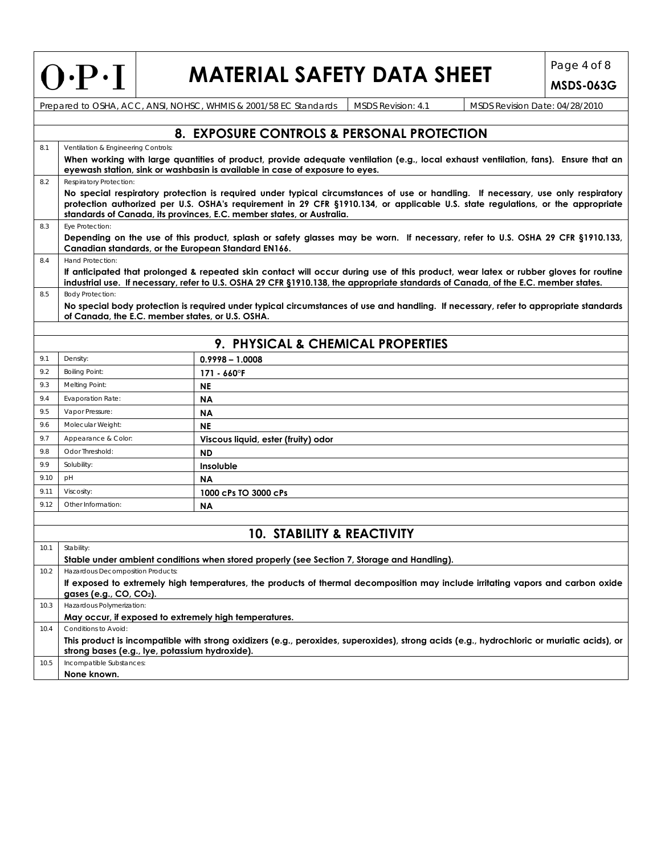# **MATERIAL SAFETY DATA SHEET** Page 4 of 8

**MSDS-063G**

|      | Prepared to OSHA, ACC, ANSI, NOHSC, WHMIS & 2001/58 EC Standards<br>MSDS Revision: 4.1<br>MSDS Revision Date: 04/28/2010                                                                                                                                                                                                                     |                                                                                                                                    |  |                                                                                                                                            |  |  |  |  |  |  |
|------|----------------------------------------------------------------------------------------------------------------------------------------------------------------------------------------------------------------------------------------------------------------------------------------------------------------------------------------------|------------------------------------------------------------------------------------------------------------------------------------|--|--------------------------------------------------------------------------------------------------------------------------------------------|--|--|--|--|--|--|
|      |                                                                                                                                                                                                                                                                                                                                              |                                                                                                                                    |  |                                                                                                                                            |  |  |  |  |  |  |
|      | 8. EXPOSURE CONTROLS & PERSONAL PROTECTION                                                                                                                                                                                                                                                                                                   |                                                                                                                                    |  |                                                                                                                                            |  |  |  |  |  |  |
| 8.1  | Ventilation & Engineering Controls:                                                                                                                                                                                                                                                                                                          |                                                                                                                                    |  |                                                                                                                                            |  |  |  |  |  |  |
|      | When working with large quantities of product, provide adequate ventilation (e.g., local exhaust ventilation, fans). Ensure that an<br>eyewash station, sink or washbasin is available in case of exposure to eyes.                                                                                                                          |                                                                                                                                    |  |                                                                                                                                            |  |  |  |  |  |  |
| 8.2  | Respiratory Protection:                                                                                                                                                                                                                                                                                                                      |                                                                                                                                    |  |                                                                                                                                            |  |  |  |  |  |  |
|      | No special respiratory protection is required under typical circumstances of use or handling. If necessary, use only respiratory<br>protection authorized per U.S. OSHA's requirement in 29 CFR §1910.134, or applicable U.S. state regulations, or the appropriate<br>standards of Canada, its provinces, E.C. member states, or Australia. |                                                                                                                                    |  |                                                                                                                                            |  |  |  |  |  |  |
| 8.3  | Eye Protection:                                                                                                                                                                                                                                                                                                                              |                                                                                                                                    |  |                                                                                                                                            |  |  |  |  |  |  |
|      |                                                                                                                                                                                                                                                                                                                                              |                                                                                                                                    |  | Depending on the use of this product, splash or safety glasses may be worn. If necessary, refer to U.S. OSHA 29 CFR §1910.133,             |  |  |  |  |  |  |
|      | Canadian standards, or the European Standard EN166.<br>Hand Protection:                                                                                                                                                                                                                                                                      |                                                                                                                                    |  |                                                                                                                                            |  |  |  |  |  |  |
| 8.4  |                                                                                                                                                                                                                                                                                                                                              | industrial use. If necessary, refer to U.S. OSHA 29 CFR §1910.138, the appropriate standards of Canada, of the E.C. member states. |  | If anticipated that prolonged & repeated skin contact will occur during use of this product, wear latex or rubber gloves for routine       |  |  |  |  |  |  |
| 8.5  | <b>Body Protection:</b>                                                                                                                                                                                                                                                                                                                      |                                                                                                                                    |  |                                                                                                                                            |  |  |  |  |  |  |
|      | of Canada, the E.C. member states, or U.S. OSHA.                                                                                                                                                                                                                                                                                             |                                                                                                                                    |  | No special body protection is required under typical circumstances of use and handling. If necessary, refer to appropriate standards       |  |  |  |  |  |  |
|      |                                                                                                                                                                                                                                                                                                                                              |                                                                                                                                    |  |                                                                                                                                            |  |  |  |  |  |  |
|      |                                                                                                                                                                                                                                                                                                                                              | 9. PHYSICAL & CHEMICAL PROPERTIES                                                                                                  |  |                                                                                                                                            |  |  |  |  |  |  |
| 9.1  | Density:                                                                                                                                                                                                                                                                                                                                     | $0.9998 - 1.0008$                                                                                                                  |  |                                                                                                                                            |  |  |  |  |  |  |
| 9.2  | <b>Boiling Point:</b>                                                                                                                                                                                                                                                                                                                        | $171 - 660$ <sup>o</sup> F                                                                                                         |  |                                                                                                                                            |  |  |  |  |  |  |
| 9.3  | Melting Point:                                                                                                                                                                                                                                                                                                                               | <b>NE</b>                                                                                                                          |  |                                                                                                                                            |  |  |  |  |  |  |
| 9.4  | <b>Evaporation Rate:</b>                                                                                                                                                                                                                                                                                                                     | ΝA                                                                                                                                 |  |                                                                                                                                            |  |  |  |  |  |  |
| 9.5  | Vapor Pressure:                                                                                                                                                                                                                                                                                                                              | <b>NA</b>                                                                                                                          |  |                                                                                                                                            |  |  |  |  |  |  |
| 9.6  | Molecular Weight:                                                                                                                                                                                                                                                                                                                            | <b>NE</b>                                                                                                                          |  |                                                                                                                                            |  |  |  |  |  |  |
| 9.7  | Appearance & Color:                                                                                                                                                                                                                                                                                                                          | Viscous liquid, ester (fruity) odor                                                                                                |  |                                                                                                                                            |  |  |  |  |  |  |
| 9.8  | Odor Threshold:                                                                                                                                                                                                                                                                                                                              | <b>ND</b>                                                                                                                          |  |                                                                                                                                            |  |  |  |  |  |  |
| 9.9  | Solubility:                                                                                                                                                                                                                                                                                                                                  | Insoluble                                                                                                                          |  |                                                                                                                                            |  |  |  |  |  |  |
| 9.10 | pH                                                                                                                                                                                                                                                                                                                                           | <b>NA</b>                                                                                                                          |  |                                                                                                                                            |  |  |  |  |  |  |
| 9.11 | Viscosity:                                                                                                                                                                                                                                                                                                                                   | 1000 cPs TO 3000 cPs                                                                                                               |  |                                                                                                                                            |  |  |  |  |  |  |
| 9.12 | Other Information:                                                                                                                                                                                                                                                                                                                           | <b>NA</b>                                                                                                                          |  |                                                                                                                                            |  |  |  |  |  |  |
|      |                                                                                                                                                                                                                                                                                                                                              |                                                                                                                                    |  |                                                                                                                                            |  |  |  |  |  |  |
|      |                                                                                                                                                                                                                                                                                                                                              | <b>10. STABILITY &amp; REACTIVITY</b>                                                                                              |  |                                                                                                                                            |  |  |  |  |  |  |
| 10.1 | Stability:                                                                                                                                                                                                                                                                                                                                   |                                                                                                                                    |  |                                                                                                                                            |  |  |  |  |  |  |
|      |                                                                                                                                                                                                                                                                                                                                              | Stable under ambient conditions when stored properly (see Section 7, Storage and Handling).                                        |  |                                                                                                                                            |  |  |  |  |  |  |
| 10.2 | Hazardous Decomposition Products:                                                                                                                                                                                                                                                                                                            |                                                                                                                                    |  |                                                                                                                                            |  |  |  |  |  |  |
|      | gases (e.g., CO, CO <sub>2</sub> ).                                                                                                                                                                                                                                                                                                          |                                                                                                                                    |  | If exposed to extremely high temperatures, the products of thermal decomposition may include irritating vapors and carbon oxide            |  |  |  |  |  |  |
| 10.3 | Hazardous Polymerization:                                                                                                                                                                                                                                                                                                                    |                                                                                                                                    |  |                                                                                                                                            |  |  |  |  |  |  |
|      | May occur, if exposed to extremely high temperatures.                                                                                                                                                                                                                                                                                        |                                                                                                                                    |  |                                                                                                                                            |  |  |  |  |  |  |
| 10.4 | Conditions to Avoid:                                                                                                                                                                                                                                                                                                                         |                                                                                                                                    |  | This product is incompatible with strong oxidizers (e.g., peroxides, superoxides), strong acids (e.g., hydrochloric or muriatic acids), or |  |  |  |  |  |  |
|      | strong bases (e.g., lye, potassium hydroxide).                                                                                                                                                                                                                                                                                               |                                                                                                                                    |  |                                                                                                                                            |  |  |  |  |  |  |
| 10.5 | Incompatible Substances:                                                                                                                                                                                                                                                                                                                     |                                                                                                                                    |  |                                                                                                                                            |  |  |  |  |  |  |

**None known.**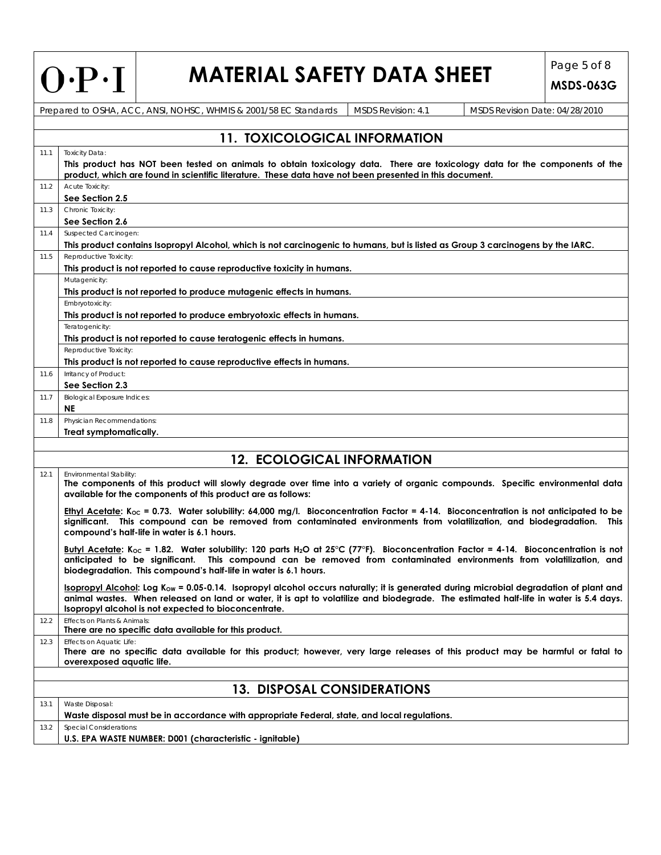| $O \cdot P \cdot I$ |  |
|---------------------|--|
|---------------------|--|

# **MATERIAL SAFETY DATA SHEET** Page 5 of 8

**MSDS-063G**

Prepared to OSHA, ACC, ANSI, NOHSC, WHMIS & 2001/58 EC Standards | MSDS Revision: 4.1 MSDS Revision Date: 04/28/2010

|      | <b>11. TOXICOLOGICAL INFORMATION</b>                                                                                                                                                                                                                                                                                                                   |  |  |  |  |  |  |
|------|--------------------------------------------------------------------------------------------------------------------------------------------------------------------------------------------------------------------------------------------------------------------------------------------------------------------------------------------------------|--|--|--|--|--|--|
| 11.1 | <b>Toxicity Data:</b>                                                                                                                                                                                                                                                                                                                                  |  |  |  |  |  |  |
|      | This product has NOT been tested on animals to obtain toxicology data. There are toxicology data for the components of the<br>product, which are found in scientific literature. These data have not been presented in this document.                                                                                                                  |  |  |  |  |  |  |
| 11.2 | Acute Toxicity:<br>See Section 2.5                                                                                                                                                                                                                                                                                                                     |  |  |  |  |  |  |
| 11.3 | Chronic Toxicity:<br>See Section 2.6                                                                                                                                                                                                                                                                                                                   |  |  |  |  |  |  |
| 11.4 | Suspected Carcinogen:<br>This product contains Isopropyl Alcohol, which is not carcinogenic to humans, but is listed as Group 3 carcinogens by the IARC.                                                                                                                                                                                               |  |  |  |  |  |  |
| 11.5 | Reproductive Toxicity:<br>This product is not reported to cause reproductive toxicity in humans.                                                                                                                                                                                                                                                       |  |  |  |  |  |  |
|      | Mutagenicity:                                                                                                                                                                                                                                                                                                                                          |  |  |  |  |  |  |
|      | This product is not reported to produce mutagenic effects in humans.                                                                                                                                                                                                                                                                                   |  |  |  |  |  |  |
|      | Embryotoxicity:<br>This product is not reported to produce embryotoxic effects in humans.                                                                                                                                                                                                                                                              |  |  |  |  |  |  |
|      | Teratogenicity:<br>This product is not reported to cause teratogenic effects in humans.                                                                                                                                                                                                                                                                |  |  |  |  |  |  |
|      | Reproductive Toxicity:<br>This product is not reported to cause reproductive effects in humans.                                                                                                                                                                                                                                                        |  |  |  |  |  |  |
|      | Irritancy of Product:                                                                                                                                                                                                                                                                                                                                  |  |  |  |  |  |  |
| 11.6 | See Section 2.3                                                                                                                                                                                                                                                                                                                                        |  |  |  |  |  |  |
| 11.7 | <b>Biological Exposure Indices:</b><br><b>NE</b>                                                                                                                                                                                                                                                                                                       |  |  |  |  |  |  |
| 11.8 | Physician Recommendations:<br>Treat symptomatically.                                                                                                                                                                                                                                                                                                   |  |  |  |  |  |  |
|      |                                                                                                                                                                                                                                                                                                                                                        |  |  |  |  |  |  |
|      | <b>12. ECOLOGICAL INFORMATION</b>                                                                                                                                                                                                                                                                                                                      |  |  |  |  |  |  |
| 12.1 | Environmental Stability:<br>The components of this product will slowly degrade over time into a variety of organic compounds. Specific environmental data<br>available for the components of this product are as follows:                                                                                                                              |  |  |  |  |  |  |
|      | Ethyl Acetate: K <sub>oc</sub> = 0.73. Water solubility: 64,000 mg/l. Bioconcentration Factor = 4-14. Bioconcentration is not anticipated to be<br>significant. This compound can be removed from contaminated environments from volatilization, and biodegradation. This<br>compound's half-life in water is 6.1 hours.                               |  |  |  |  |  |  |
|      | Butyl Acetate: K <sub>oc</sub> = 1.82. Water solubility: 120 parts H <sub>2</sub> O at 25°C (77°F). Bioconcentration Factor = 4-14. Bioconcentration is not<br>anticipated to be significant. This compound can be removed from contaminated environments from volatilization, and<br>biodegradation. This compound's half-life in water is 6.1 hours. |  |  |  |  |  |  |
|      | Isopropyl Alcohol: Log $K_{ow}$ = 0.05-0.14. Isopropyl alcohol occurs naturally; it is generated during microbial degradation of plant and<br>animal wastes. When released on land or water, it is apt to volatilize and biodegrade. The estimated half-life in water is 5.4 days.<br>Isopropyl alcohol is not expected to bioconcentrate.             |  |  |  |  |  |  |
| 12.2 | Effects on Plants & Animals:<br>There are no specific data available for this product.                                                                                                                                                                                                                                                                 |  |  |  |  |  |  |
| 12.3 | Effects on Aquatic Life:<br>There are no specific data available for this product; however, very large releases of this product may be harmful or fatal to<br>overexposed aguatic life.                                                                                                                                                                |  |  |  |  |  |  |
|      |                                                                                                                                                                                                                                                                                                                                                        |  |  |  |  |  |  |
|      | <b>13. DISPOSAL CONSIDERATIONS</b>                                                                                                                                                                                                                                                                                                                     |  |  |  |  |  |  |
| 13.1 | Waste Disposal:<br>Waste disposal must be in accordance with appropriate Federal, state, and local regulations.                                                                                                                                                                                                                                        |  |  |  |  |  |  |
| 13.2 | <b>Special Considerations:</b><br>U.S. EPA WASTE NUMBER: D001 (characteristic - ignitable)                                                                                                                                                                                                                                                             |  |  |  |  |  |  |
|      |                                                                                                                                                                                                                                                                                                                                                        |  |  |  |  |  |  |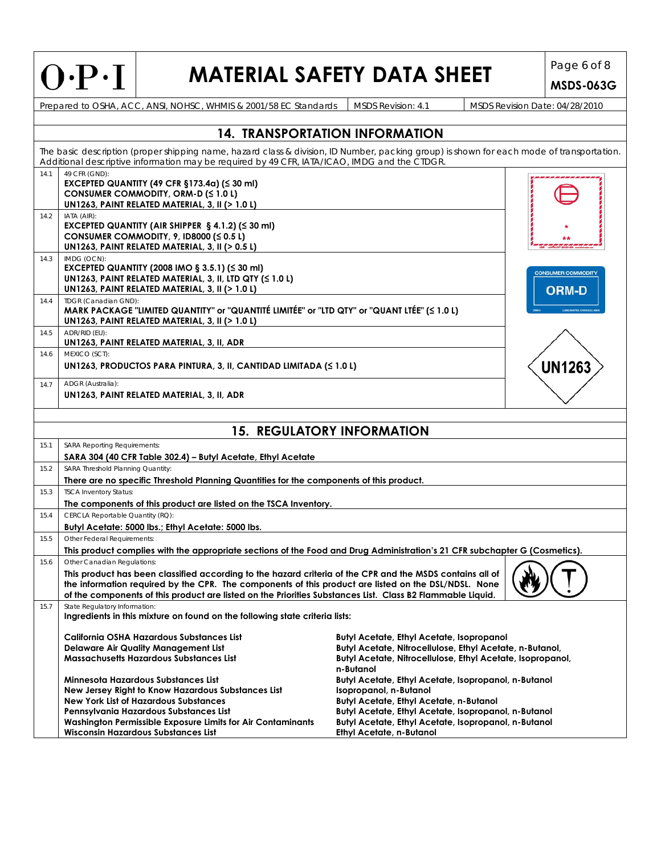# **MATERIAL SAFETY DATA SHEET** Page 6 of 8

**MSDS-063G**

Prepared to OSHA, ACC, ANSI, NOHSC, WHMIS & 2001/58 EC Standards MSDS Revision: 4.1 MSDS Revision Date: 04/28/2010

|      |                                                                                                                                                                                                                                                                                                                                                                | <b>14. TRANSPORTATION INFORMATION</b>                                                                                                                                                                                                                                               |        |  |  |  |  |  |
|------|----------------------------------------------------------------------------------------------------------------------------------------------------------------------------------------------------------------------------------------------------------------------------------------------------------------------------------------------------------------|-------------------------------------------------------------------------------------------------------------------------------------------------------------------------------------------------------------------------------------------------------------------------------------|--------|--|--|--|--|--|
|      | The basic description (proper shipping name, hazard class & division, ID Number, packing group) is shown for each mode of transportation.<br>Additional descriptive information may be required by 49 CFR, IATA/ICAO, IMDG and the CTDGR.                                                                                                                      |                                                                                                                                                                                                                                                                                     |        |  |  |  |  |  |
| 14.1 | 49 CFR (GND):<br>EXCEPTED QUANTITY (49 CFR §173.4a) (≤ 30 ml)<br>CONSUMER COMMODITY, ORM-D (≤ 1.0 L)<br>UN1263, PAINT RELATED MATERIAL, 3, II (> 1.0 L)                                                                                                                                                                                                        |                                                                                                                                                                                                                                                                                     |        |  |  |  |  |  |
| 14.2 | IATA (AIR):<br>EXCEPTED QUANTITY (AIR SHIPPER $\S$ 4.1.2) ( $\leq$ 30 ml)<br>CONSUMER COMMODITY, 9, ID8000 ( $\leq 0.5$ L)<br>UN1263, PAINT RELATED MATERIAL, 3, II (> 0.5 L)                                                                                                                                                                                  |                                                                                                                                                                                                                                                                                     |        |  |  |  |  |  |
| 14.3 | IMDG (OCN):<br>EXCEPTED QUANTITY (2008 IMO § 3.5.1) (≤ 30 ml)<br><b>CONSUMER COMMODITY</b><br>UN1263, PAINT RELATED MATERIAL, 3, II, LTD QTY (≤ 1.0 L)<br>UN1263, PAINT RELATED MATERIAL, 3, II (> 1.0 L)<br><b>ORM-D</b>                                                                                                                                      |                                                                                                                                                                                                                                                                                     |        |  |  |  |  |  |
| 14.4 | TDGR (Canadian GND):<br>MARK PACKAGE "LIMITED QUANTITY" or "QUANTITÉ LIMITÉE" or "LTD QTY" or "QUANT LTÉE" (≤ 1.0 L)<br>UN1263, PAINT RELATED MATERIAL, 3, II (> 1.0 L)                                                                                                                                                                                        |                                                                                                                                                                                                                                                                                     |        |  |  |  |  |  |
| 14.5 | ADR/RID (EU):<br>UN1263, PAINT RELATED MATERIAL, 3, II, ADR                                                                                                                                                                                                                                                                                                    |                                                                                                                                                                                                                                                                                     |        |  |  |  |  |  |
| 14.6 | MEXICO (SCT):<br>UN1263, PRODUCTOS PARA PINTURA, 3, II, CANTIDAD LIMITADA ( $\leq 1.0$ L)                                                                                                                                                                                                                                                                      |                                                                                                                                                                                                                                                                                     | UN1263 |  |  |  |  |  |
| 14.7 | ADGR (Australia):<br>UN1263, PAINT RELATED MATERIAL, 3, II, ADR                                                                                                                                                                                                                                                                                                |                                                                                                                                                                                                                                                                                     |        |  |  |  |  |  |
|      |                                                                                                                                                                                                                                                                                                                                                                | <b>15. REGULATORY INFORMATION</b>                                                                                                                                                                                                                                                   |        |  |  |  |  |  |
|      |                                                                                                                                                                                                                                                                                                                                                                |                                                                                                                                                                                                                                                                                     |        |  |  |  |  |  |
| 15.1 | <b>SARA Reporting Requirements:</b><br>SARA 304 (40 CFR Table 302.4) - Butyl Acetate, Ethyl Acetate                                                                                                                                                                                                                                                            |                                                                                                                                                                                                                                                                                     |        |  |  |  |  |  |
| 15.2 | SARA Threshold Planning Quantity:<br>There are no specific Threshold Planning Quantities for the components of this product.                                                                                                                                                                                                                                   |                                                                                                                                                                                                                                                                                     |        |  |  |  |  |  |
| 15.3 | <b>TSCA Inventory Status:</b><br>The components of this product are listed on the TSCA Inventory.                                                                                                                                                                                                                                                              |                                                                                                                                                                                                                                                                                     |        |  |  |  |  |  |
| 15.4 | CERCLA Reportable Quantity (RQ):<br>Butyl Acetate: 5000 lbs.; Ethyl Acetate: 5000 lbs.                                                                                                                                                                                                                                                                         |                                                                                                                                                                                                                                                                                     |        |  |  |  |  |  |
| 15.5 | Other Federal Requirements:<br>This product complies with the appropriate sections of the Food and Drug Administration's 21 CFR subchapter G (Cosmetics).                                                                                                                                                                                                      |                                                                                                                                                                                                                                                                                     |        |  |  |  |  |  |
| 15.6 | Other Canadian Regulations:<br>This product has been classified according to the hazard criteria of the CPR and the MSDS contains all of<br>the information required by the CPR. The components of this product are listed on the DSL/NDSL. None<br>of the components of this product are listed on the Priorities Substances List. Class B2 Flammable Liquid. |                                                                                                                                                                                                                                                                                     |        |  |  |  |  |  |
| 15.7 | State Regulatory Information:<br>Ingredients in this mixture on found on the following state criteria lists:                                                                                                                                                                                                                                                   |                                                                                                                                                                                                                                                                                     |        |  |  |  |  |  |
|      | California OSHA Hazardous Substances List<br><b>Delaware Air Quality Management List</b><br><b>Massachusetts Hazardous Substances List</b>                                                                                                                                                                                                                     | <b>Butyl Acetate, Ethyl Acetate, Isopropanol</b><br>Butyl Acetate, Nitrocellulose, Ethyl Acetate, n-Butanol,<br>Butyl Acetate, Nitrocellulose, Ethyl Acetate, Isopropanol,<br>n-Butanol                                                                                             |        |  |  |  |  |  |
|      | Minnesota Hazardous Substances List<br>New Jersey Right to Know Hazardous Substances List<br><b>New York List of Hazardous Substances</b><br>Pennsylvania Hazardous Substances List<br>Washington Permissible Exposure Limits for Air Contaminants<br><b>Wisconsin Hazardous Substances List</b>                                                               | Butyl Acetate, Ethyl Acetate, Isopropanol, n-Butanol<br>Isopropanol, n-Butanol<br><b>Butyl Acetate, Ethyl Acetate, n-Butanol</b><br>Butyl Acetate, Ethyl Acetate, Isopropanol, n-Butanol<br>Butyl Acetate, Ethyl Acetate, Isopropanol, n-Butanol<br><b>Ethyl Acetate, n-Butanol</b> |        |  |  |  |  |  |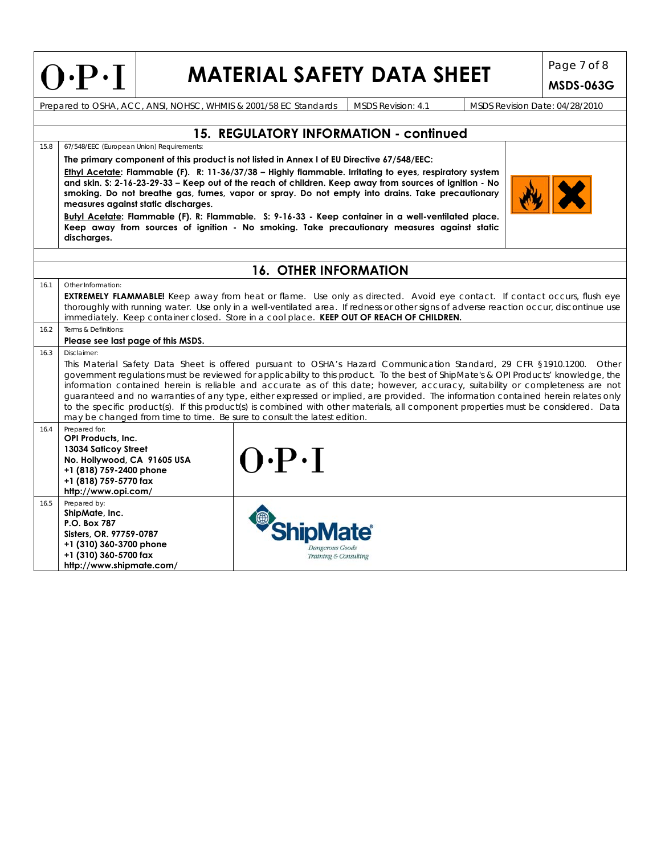|      | Page 7 of 8<br>$O \cdot P \cdot I$<br><b>MATERIAL SAFETY DATA SHEET</b>                                                                                                                                                                                                                                                                                                                                                                                                                                                                                                                                                                                                                                                                                              |  |                                                                                            |                                        |                                |                  |  |  |  |  |
|------|----------------------------------------------------------------------------------------------------------------------------------------------------------------------------------------------------------------------------------------------------------------------------------------------------------------------------------------------------------------------------------------------------------------------------------------------------------------------------------------------------------------------------------------------------------------------------------------------------------------------------------------------------------------------------------------------------------------------------------------------------------------------|--|--------------------------------------------------------------------------------------------|----------------------------------------|--------------------------------|------------------|--|--|--|--|
|      |                                                                                                                                                                                                                                                                                                                                                                                                                                                                                                                                                                                                                                                                                                                                                                      |  |                                                                                            |                                        |                                | <b>MSDS-063G</b> |  |  |  |  |
|      |                                                                                                                                                                                                                                                                                                                                                                                                                                                                                                                                                                                                                                                                                                                                                                      |  | Prepared to OSHA, ACC, ANSI, NOHSC, WHMIS & 2001/58 EC Standards                           | <b>MSDS Revision: 4.1</b>              | MSDS Revision Date: 04/28/2010 |                  |  |  |  |  |
|      |                                                                                                                                                                                                                                                                                                                                                                                                                                                                                                                                                                                                                                                                                                                                                                      |  |                                                                                            |                                        |                                |                  |  |  |  |  |
|      |                                                                                                                                                                                                                                                                                                                                                                                                                                                                                                                                                                                                                                                                                                                                                                      |  |                                                                                            | 15. REGULATORY INFORMATION - continued |                                |                  |  |  |  |  |
| 15.8 | 67/548/EEC (European Union) Requirements:                                                                                                                                                                                                                                                                                                                                                                                                                                                                                                                                                                                                                                                                                                                            |  |                                                                                            |                                        |                                |                  |  |  |  |  |
|      |                                                                                                                                                                                                                                                                                                                                                                                                                                                                                                                                                                                                                                                                                                                                                                      |  | The primary component of this product is not listed in Annex I of EU Directive 67/548/EEC: |                                        |                                |                  |  |  |  |  |
|      | Ethyl Acetate: Flammable (F). R: 11-36/37/38 – Highly flammable. Irritating to eyes, respiratory system<br>and skin. S: 2-16-23-29-33 - Keep out of the reach of children. Keep away from sources of ignition - No<br>smoking. Do not breathe gas, fumes, vapor or spray. Do not empty into drains. Take precautionary<br>measures against static discharges.                                                                                                                                                                                                                                                                                                                                                                                                        |  |                                                                                            |                                        |                                |                  |  |  |  |  |
|      | Butyl Acetate: Flammable (F). R: Flammable. S: 9-16-33 - Keep container in a well-ventilated place.<br>Keep away from sources of ignition - No smoking. Take precautionary measures against static<br>discharges.                                                                                                                                                                                                                                                                                                                                                                                                                                                                                                                                                    |  |                                                                                            |                                        |                                |                  |  |  |  |  |
|      |                                                                                                                                                                                                                                                                                                                                                                                                                                                                                                                                                                                                                                                                                                                                                                      |  |                                                                                            |                                        |                                |                  |  |  |  |  |
|      |                                                                                                                                                                                                                                                                                                                                                                                                                                                                                                                                                                                                                                                                                                                                                                      |  | <b>16. OTHER INFORMATION</b>                                                               |                                        |                                |                  |  |  |  |  |
| 16.1 | Other Information:<br><b>EXTREMELY FLAMMABLE!</b> Keep away from heat or flame. Use only as directed. Avoid eye contact. If contact occurs, flush eye<br>thoroughly with running water. Use only in a well-ventilated area. If redness or other signs of adverse reaction occur, discontinue use<br>immediately. Keep container closed. Store in a cool place. KEEP OUT OF REACH OF CHILDREN.                                                                                                                                                                                                                                                                                                                                                                        |  |                                                                                            |                                        |                                |                  |  |  |  |  |
| 16.2 | Terms & Definitions:                                                                                                                                                                                                                                                                                                                                                                                                                                                                                                                                                                                                                                                                                                                                                 |  |                                                                                            |                                        |                                |                  |  |  |  |  |
|      | Please see last page of this MSDS.                                                                                                                                                                                                                                                                                                                                                                                                                                                                                                                                                                                                                                                                                                                                   |  |                                                                                            |                                        |                                |                  |  |  |  |  |
| 16.3 | Disclaimer:<br>This Material Safety Data Sheet is offered pursuant to OSHA's Hazard Communication Standard, 29 CFR §1910.1200. Other<br>government regulations must be reviewed for applicability to this product. To the best of ShipMate's & OPI Products' knowledge, the<br>information contained herein is reliable and accurate as of this date; however, accuracy, suitability or completeness are not<br>guaranteed and no warranties of any type, either expressed or implied, are provided. The information contained herein relates only<br>to the specific product(s). If this product(s) is combined with other materials, all component properties must be considered. Data<br>may be changed from time to time. Be sure to consult the latest edition. |  |                                                                                            |                                        |                                |                  |  |  |  |  |
| 16.4 | Prepared for:<br>OPI Products, Inc.<br>13034 Saticoy Street<br>No. Hollywood, CA 91605 USA<br>+1 (818) 759-2400 phone<br>+1 (818) 759-5770 fax<br>http://www.opi.com/                                                                                                                                                                                                                                                                                                                                                                                                                                                                                                                                                                                                |  | $O\cdot P\cdot I$                                                                          |                                        |                                |                  |  |  |  |  |
| 16.5 | Prepared by:<br>ShipMate, Inc.<br>P.O. Box 787<br>Sisters, OR. 97759-0787<br>+1 (310) 360-3700 phone<br>+1 (310) 360-5700 fax<br>http://www.shipmate.com/                                                                                                                                                                                                                                                                                                                                                                                                                                                                                                                                                                                                            |  | <b>ipMate</b><br>Dangerous Goods<br>Training & Consulting                                  |                                        |                                |                  |  |  |  |  |